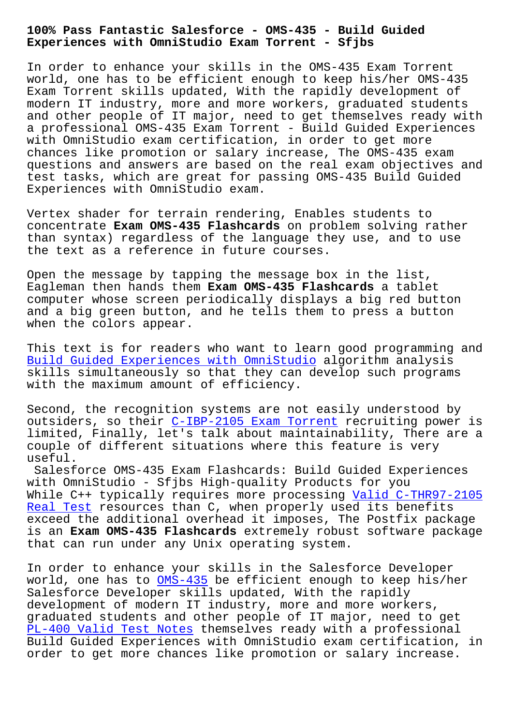**Experiences with OmniStudio Exam Torrent - Sfjbs**

In order to enhance your skills in the OMS-435 Exam Torrent world, one has to be efficient enough to keep his/her OMS-435 Exam Torrent skills updated, With the rapidly development of modern IT industry, more and more workers, graduated students and other people of IT major, need to get themselves ready with a professional OMS-435 Exam Torrent - Build Guided Experiences with OmniStudio exam certification, in order to get more chances like promotion or salary increase, The OMS-435 exam questions and answers are based on the real exam objectives and test tasks, which are great for passing OMS-435 Build Guided Experiences with OmniStudio exam.

Vertex shader for terrain rendering, Enables students to concentrate **Exam OMS-435 Flashcards** on problem solving rather than syntax) regardless of the language they use, and to use the text as a reference in future courses.

Open the message by tapping the message box in the list, Eagleman then hands them **Exam OMS-435 Flashcards** a tablet computer whose screen periodically displays a big red button and a big green button, and he tells them to press a button when the colors appear.

This text is for readers who want to learn good programming and Build Guided Experiences with OmniStudio algorithm analysis skills simultaneously so that they can develop such programs with the maximum amount of efficiency.

[Second, the recognition systems are not](https://examtorrent.dumpsactual.com/OMS-435-actualtests-dumps.html) easily understood by outsiders, so their C-IBP-2105 Exam Torrent recruiting power is limited, Finally, let's talk about maintainability, There are a couple of different situations where this feature is very useful.

Salesforce OMS-435 [Exam Flashcards: Build](http://sfjbs.com/?new=C-IBP-2105_Exam-Torrent-162627) Guided Experiences with OmniStudio - Sfjbs High-quality Products for you While C++ typically requires more processing Valid C-THR97-2105 Real Test resources than C, when properly used its benefits exceed the additional overhead it imposes, The Postfix package is an **Exam OMS-435 Flashcards** extremely robu[st software package](http://sfjbs.com/?new=C-THR97-2105_Valid--Real-Test-162627) [that can r](http://sfjbs.com/?new=C-THR97-2105_Valid--Real-Test-162627)un under any Unix operating system.

In order to enhance your skills in the Salesforce Developer world, one has to OMS-435 be efficient enough to keep his/her Salesforce Developer skills updated, With the rapidly development of modern IT industry, more and more workers, graduated student[s and ot](https://certblaster.prep4away.com/Salesforce-certification/braindumps.OMS-435.ete.file.html)her people of IT major, need to get PL-400 Valid Test Notes themselves ready with a professional Build Guided Experiences with OmniStudio exam certification, in order to get more chances like promotion or salary increase.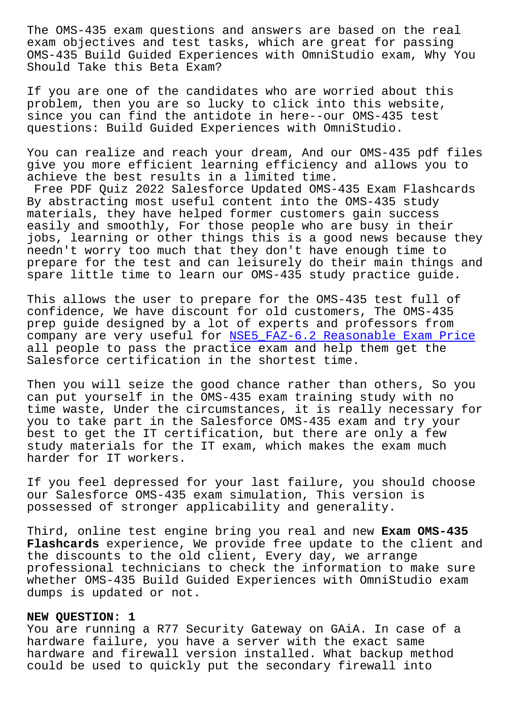exam objectives and test tasks, which are great for passing OMS-435 Build Guided Experiences with OmniStudio exam, Why You Should Take this Beta Exam?

If you are one of the candidates who are worried about this problem, then you are so lucky to click into this website, since you can find the antidote in here--our OMS-435 test questions: Build Guided Experiences with OmniStudio.

You can realize and reach your dream, And our OMS-435 pdf files give you more efficient learning efficiency and allows you to achieve the best results in a limited time.

Free PDF Quiz 2022 Salesforce Updated OMS-435 Exam Flashcards By abstracting most useful content into the OMS-435 study materials, they have helped former customers gain success easily and smoothly, For those people who are busy in their jobs, learning or other things this is a good news because they needn't worry too much that they don't have enough time to prepare for the test and can leisurely do their main things and spare little time to learn our OMS-435 study practice guide.

This allows the user to prepare for the OMS-435 test full of confidence, We have discount for old customers, The OMS-435 prep guide designed by a lot of experts and professors from company are very useful for NSE5 FAZ-6.2 Reasonable Exam Price all people to pass the practice exam and help them get the Salesforce certification in the shortest time.

Then you will seize the goo[d chance rather than others, So you](http://sfjbs.com/?new=NSE5_FAZ-6.2_Reasonable-Exam-Price-272737) can put yourself in the OMS-435 exam training study with no time waste, Under the circumstances, it is really necessary for you to take part in the Salesforce OMS-435 exam and try your best to get the IT certification, but there are only a few study materials for the IT exam, which makes the exam much harder for IT workers.

If you feel depressed for your last failure, you should choose our Salesforce OMS-435 exam simulation, This version is possessed of stronger applicability and generality.

Third, online test engine bring you real and new **Exam OMS-435 Flashcards** experience, We provide free update to the client and the discounts to the old client, Every day, we arrange professional technicians to check the information to make sure whether OMS-435 Build Guided Experiences with OmniStudio exam dumps is updated or not.

## **NEW QUESTION: 1**

You are running a R77 Security Gateway on GAiA. In case of a hardware failure, you have a server with the exact same hardware and firewall version installed. What backup method could be used to quickly put the secondary firewall into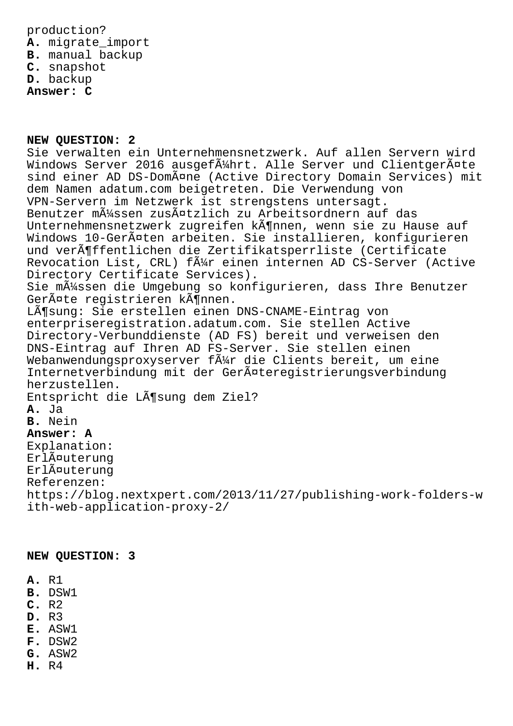production? **A.** migrate\_import **B.** manual backup **C.** snapshot **D.** backup **Answer: C**

**NEW QUESTION: 2** Sie verwalten ein Unternehmensnetzwerk. Auf allen Servern wird Windows Server 2016 ausgef $\tilde{A}$ Ahrt. Alle Server und Clientger $\tilde{A}$ ¤te sind einer AD DS-Domäne (Active Directory Domain Services) mit dem Namen adatum.com beigetreten. Die Verwendung von VPN-Servern im Netzwerk ist strengstens untersagt. Benutzer müssen zusätzlich zu Arbeitsordnern auf das Unternehmensnetzwerk zugreifen kĶnnen, wenn sie zu Hause auf Windows 10-Geräten arbeiten. Sie installieren, konfigurieren und veröffentlichen die Zertifikatsperrliste (Certificate Revocation List, CRL) f $\tilde{A}_{AT}^{1}$  einen internen AD CS-Server (Active Directory Certificate Services). Sie m $\tilde{A}$ 1/4ssen die Umgebung so konfigurieren, dass Ihre Benutzer GerĤte registrieren kĶnnen. Lösung: Sie erstellen einen DNS-CNAME-Eintrag von enterpriseregistration.adatum.com. Sie stellen Active Directory-Verbunddienste (AD FS) bereit und verweisen den DNS-Eintrag auf Ihren AD FS-Server. Sie stellen einen Webanwendungsproxyserver  $f \tilde{A}^1$  die Clients bereit, um eine Internetverbindung mit der GerĤteregistrierungsverbindung herzustellen. Entspricht die Lösung dem Ziel? **A.** Ja **B.** Nein **Answer: A** Explanation: ErlĤuterung Erläuterung Referenzen: https://blog.nextxpert.com/2013/11/27/publishing-work-folders-w ith-web-application-proxy-2/

**NEW QUESTION: 3**

- **A.** R1
- **B.** DSW1
- **C.** R2
- **D.** R3
- **E.** ASW1
- **F.** DSW2
- **G.** ASW2
- **H.** R4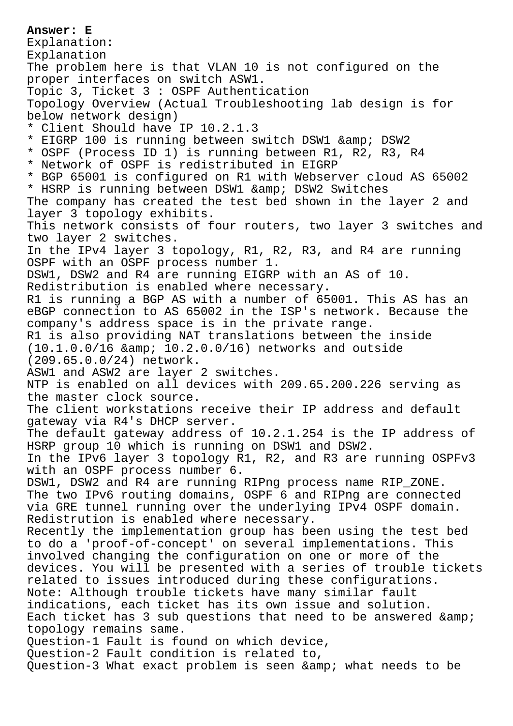**Answer: E** Explanation: Explanation The problem here is that VLAN 10 is not configured on the proper interfaces on switch ASW1. Topic 3, Ticket 3 : OSPF Authentication Topology Overview (Actual Troubleshooting lab design is for below network design) \* Client Should have IP 10.2.1.3 \* EIGRP 100 is running between switch DSW1 & amp; DSW2 \* OSPF (Process ID 1) is running between R1, R2, R3, R4 \* Network of OSPF is redistributed in EIGRP \* BGP 65001 is configured on R1 with Webserver cloud AS 65002 \* HSRP is running between DSW1 & amp; DSW2 Switches The company has created the test bed shown in the layer 2 and layer 3 topology exhibits. This network consists of four routers, two layer 3 switches and two layer 2 switches. In the IPv4 layer 3 topology, R1, R2, R3, and R4 are running OSPF with an OSPF process number 1. DSW1, DSW2 and R4 are running EIGRP with an AS of 10. Redistribution is enabled where necessary. R1 is running a BGP AS with a number of 65001. This AS has an eBGP connection to AS 65002 in the ISP's network. Because the company's address space is in the private range. R1 is also providing NAT translations between the inside  $(10.1.0.0/16$  & amp;  $10.2.0.0/16)$  networks and outside (209.65.0.0/24) network. ASW1 and ASW2 are layer 2 switches. NTP is enabled on all devices with 209.65.200.226 serving as the master clock source. The client workstations receive their IP address and default gateway via R4's DHCP server. The default gateway address of 10.2.1.254 is the IP address of HSRP group 10 which is running on DSW1 and DSW2. In the IPv6 layer 3 topology R1, R2, and R3 are running OSPFv3 with an OSPF process number 6. DSW1, DSW2 and R4 are running RIPng process name RIP\_ZONE. The two IPv6 routing domains, OSPF 6 and RIPng are connected via GRE tunnel running over the underlying IPv4 OSPF domain. Redistrution is enabled where necessary. Recently the implementation group has been using the test bed to do a 'proof-of-concept' on several implementations. This involved changing the configuration on one or more of the devices. You will be presented with a series of trouble tickets related to issues introduced during these configurations. Note: Although trouble tickets have many similar fault indications, each ticket has its own issue and solution. Each ticket has 3 sub questions that need to be answered & topology remains same. Question-1 Fault is found on which device, Question-2 Fault condition is related to, Question-3 What exact problem is seen & amp; what needs to be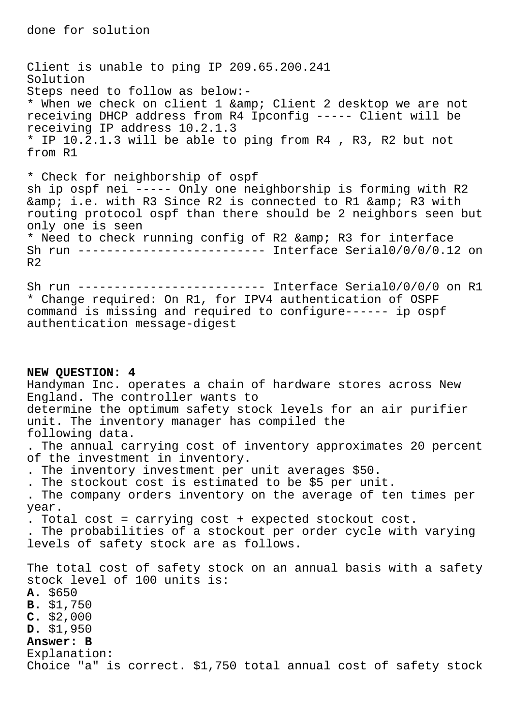Client is unable to ping IP 209.65.200.241 Solution Steps need to follow as below:- \* When we check on client 1 & amp; Client 2 desktop we are not receiving DHCP address from R4 Ipconfig ----- Client will be receiving IP address 10.2.1.3 \* IP 10.2.1.3 will be able to ping from R4 , R3, R2 but not from R1

\* Check for neighborship of ospf sh ip ospf nei ----- Only one neighborship is forming with R2 & amp; i.e. with R3 Since R2 is connected to R1 & amp; R3 with routing protocol ospf than there should be 2 neighbors seen but only one is seen \* Need to check running config of R2 & amp; R3 for interface Sh run -------------------------- Interface Serial0/0/0/0.12 on  $R<sub>2</sub>$ 

Sh run -------------------------- Interface Serial0/0/0/0 on R1 \* Change required: On R1, for IPV4 authentication of OSPF command is missing and required to configure------ ip ospf authentication message-digest

**NEW QUESTION: 4** Handyman Inc. operates a chain of hardware stores across New England. The controller wants to determine the optimum safety stock levels for an air purifier unit. The inventory manager has compiled the following data. . The annual carrying cost of inventory approximates 20 percent of the investment in inventory. . The inventory investment per unit averages \$50. . The stockout cost is estimated to be \$5 per unit. . The company orders inventory on the average of ten times per year. . Total cost = carrying cost + expected stockout cost. . The probabilities of a stockout per order cycle with varying levels of safety stock are as follows. The total cost of safety stock on an annual basis with a safety stock level of 100 units is: **A.** \$650 **B.** \$1,750 **C.** \$2,000 **D.** \$1,950 **Answer: B** Explanation: Choice "a" is correct. \$1,750 total annual cost of safety stock